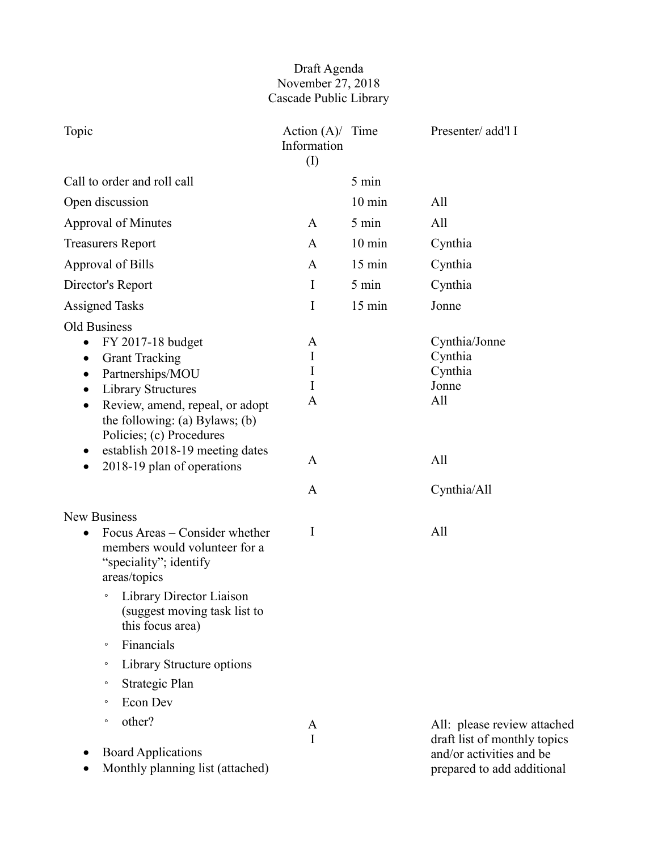## Draft Agenda November 27, 2018 Cascade Public Library

| Topic                                                                                                                                                                                                                                                                         | Action $(A)$ Time<br>Information<br>$\rm (I)$ |                  | Presenter/ add'l I                                          |
|-------------------------------------------------------------------------------------------------------------------------------------------------------------------------------------------------------------------------------------------------------------------------------|-----------------------------------------------|------------------|-------------------------------------------------------------|
| Call to order and roll call                                                                                                                                                                                                                                                   |                                               | 5 min            |                                                             |
| Open discussion                                                                                                                                                                                                                                                               |                                               | $10 \text{ min}$ | All                                                         |
| <b>Approval of Minutes</b>                                                                                                                                                                                                                                                    | A                                             | 5 min            | All                                                         |
| <b>Treasurers Report</b>                                                                                                                                                                                                                                                      | A                                             | $10 \text{ min}$ | Cynthia                                                     |
| <b>Approval of Bills</b>                                                                                                                                                                                                                                                      | A                                             | 15 min           | Cynthia                                                     |
| Director's Report                                                                                                                                                                                                                                                             | $\bf{I}$                                      | 5 min            | Cynthia                                                     |
| <b>Assigned Tasks</b>                                                                                                                                                                                                                                                         | $\mathbf I$                                   | 15 min           | Jonne                                                       |
| Old Business<br>FY 2017-18 budget<br>$\bullet$<br><b>Grant Tracking</b><br>$\bullet$<br>Partnerships/MOU<br>$\bullet$<br><b>Library Structures</b><br>$\bullet$<br>Review, amend, repeal, or adopt<br>$\bullet$<br>the following: (a) Bylaws; (b)<br>Policies; (c) Procedures | A<br>I<br>I<br>I<br>$\mathbf{A}$              |                  | Cynthia/Jonne<br>Cynthia<br>Cynthia<br>Jonne<br>All         |
| establish 2018-19 meeting dates<br>$\bullet$<br>2018-19 plan of operations<br>$\bullet$                                                                                                                                                                                       | A<br>A                                        |                  | All<br>Cynthia/All                                          |
| <b>New Business</b>                                                                                                                                                                                                                                                           |                                               |                  |                                                             |
| Focus Areas – Consider whether<br>$\bullet$<br>members would volunteer for a<br>"speciality"; identify<br>areas/topics                                                                                                                                                        | I                                             |                  | All                                                         |
| Library Director Liaison<br>$\circ$<br>(suggest moving task list to<br>this focus area)                                                                                                                                                                                       |                                               |                  |                                                             |
| Financials<br>$\circ$                                                                                                                                                                                                                                                         |                                               |                  |                                                             |
| Library Structure options<br>$\circ$                                                                                                                                                                                                                                          |                                               |                  |                                                             |
| Strategic Plan<br>$\circ$                                                                                                                                                                                                                                                     |                                               |                  |                                                             |
| Econ Dev<br>$\circ$                                                                                                                                                                                                                                                           |                                               |                  |                                                             |
| other?<br>$\circ$                                                                                                                                                                                                                                                             | A<br>I                                        |                  | All: please review attached<br>draft list of monthly topics |
| <b>Board Applications</b><br>Monthly planning list (attached)                                                                                                                                                                                                                 |                                               |                  | and/or activities and be<br>prepared to add additional      |